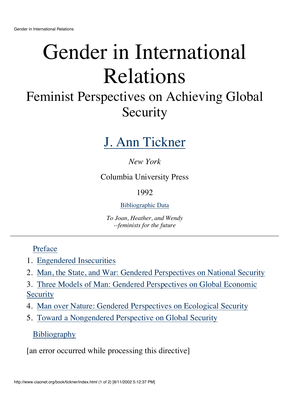# Gender in International Relations

# Feminist Perspectives on Achieving Global Security

J. Ann Tickner

*New York*

Columbia University Press

1992

Bibliographic Data

*To Joan, Heather, and Wendy --feminists for the future*

Preface

1. Engendered Insecurities

2. Man, the State, and War: Gendered Perspectives on National Security

3. Three Models of Man: Gendered Perspectives on Global Economic Security

- 4. Man over Nature: Gendered Perspectives on Ecological Security
- 5. Toward a Nongendered Perspective on Global Security

**Bibliography** 

[an error occurred while processing this directive]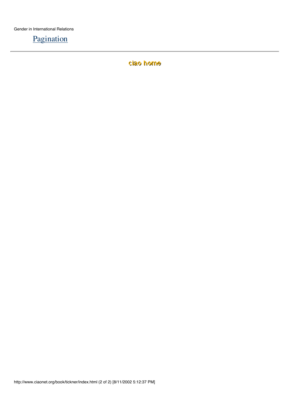Gender in International Relations

# Pagination

ciao home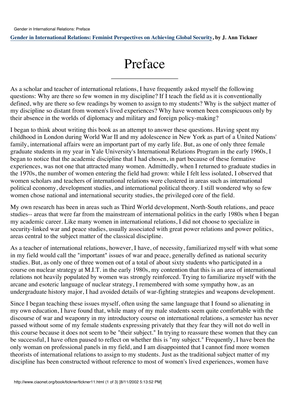#### **Gender in International Relations: Feminist Perspectives on Achieving Global Security, by J. Ann Tickner**

# Preface

As a scholar and teacher of international relations, I have frequently asked myself the following questions: Why are there so few women in my discipline? If I teach the field as it is conventionally defined, why are there so few readings by women to assign to my students? Why is the subject matter of my discipline so distant from women's lived experiences? Why have women been conspicuous only by their absence in the worlds of diplomacy and military and foreign policy-making?

I began to think about writing this book as an attempt to answer these questions. Having spent my childhood in London during World War II and my adolescence in New York as part of a United Nations' family, international affairs were an important part of my early life. But, as one of only three female graduate students in my year in Yale University's International Relations Program in the early 1960s, I began to notice that the academic discipline that I had chosen, in part because of these formative experiences, was not one that attracted many women. Admittedly, when I returned to graduate studies in the 1970s, the number of women entering the field had grown: while I felt less isolated, I observed that women scholars and teachers of international relations were clustered in areas such as international political economy, development studies, and international political theory. I still wondered why so few women chose national and international security studies, the privileged core of the field.

My own research has been in areas such as Third World development, North-South relations, and peace studies-- areas that were far from the mainstream of international politics in the early 1980s when I began my academic career. Like many women in international relations, I did not choose to specialize in security-linked war and peace studies, usually associated with great power relations and power politics, areas central to the subject matter of the classical discipline.

As a teacher of international relations, however, I have, of necessity, familiarized myself with what some in my field would call the "important" issues of war and peace, generally defined as national security studies. But, as only one of three women out of a total of about sixty students who participated in a course on nuclear strategy at M.I.T. in the early 1980s, my contention that this is an area of international relations not heavily populated by women was strongly reinforced. Trying to familiarize myself with the arcane and esoteric language of nuclear strategy, I remembered with some sympathy how, as an undergraduate history major, I had avoided details of war-fighting strategies and weapons development.

Since I began teaching these issues myself, often using the same language that I found so alienating in my own education, I have found that, while many of my male students seem quite comfortable with the discourse of war and weaponry in my introductory course on international relations, a semester has never passed without some of my female students expressing privately that they fear they will not do well in this course because it does not seem to be "their subject." In trying to reassure these women that they can be successful, I have often paused to reflect on whether this is "my subject." Frequently, I have been the only woman on professional panels in my field, and I am disappointed that I cannot find more women theorists of international relations to assign to my students. Just as the traditional subject matter of my discipline has been constructed without reference to most of women's lived experiences, women have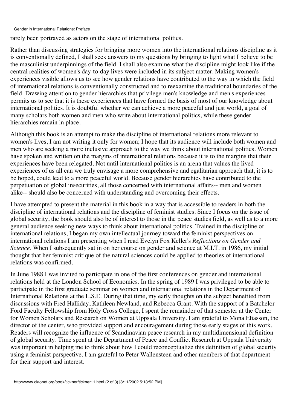Gender in International Relations: Preface

rarely been portrayed as actors on the stage of international politics.

Rather than discussing strategies for bringing more women into the international relations discipline as it is conventionally defined, I shall seek answers to my questions by bringing to light what I believe to be the masculinist underpinnings of the field. I shall also examine what the discipline might look like if the central realities of women's day-to-day lives were included in its subject matter. Making women's experiences visible allows us to see how gender relations have contributed to the way in which the field of international relations is conventionally constructed and to reexamine the traditional boundaries of the field. Drawing attention to gender hierarchies that privilege men's knowledge and men's experiences permits us to see that it is these experiences that have formed the basis of most of our knowledge about international politics. It is doubtful whether we can achieve a more peaceful and just world, a goal of many scholars both women and men who write about international politics, while these gender hierarchies remain in place.

Although this book is an attempt to make the discipline of international relations more relevant to women's lives, I am not writing it only for women; I hope that its audience will include both women and men who are seeking a more inclusive approach to the way we think about international politics. Women have spoken and written on the margins of international relations because it is to the margins that their experiences have been relegated. Not until international politics is an arena that values the lived experiences of us all can we truly envisage a more comprehensive and egalitarian approach that, it is to be hoped, could lead to a more peaceful world. Because gender hierarchies have contributed to the perpetuation of global insecurities, all those concerned with international affairs-- men and women alike-- should also be concerned with understanding and overcoming their effects.

I have attempted to present the material in this book in a way that is accessible to readers in both the discipline of international relations and the discipline of feminist studies. Since I focus on the issue of global security, the book should also be of interest to those in the peace studies field, as well as to a more general audience seeking new ways to think about international politics. Trained in the discipline of international relations, I began my own intellectual journey toward the feminist perspectives on international relations I am presenting when I read Evelyn Fox Keller's *Reflections on Gender and Science*. When I subsequently sat in on her course on gender and science at M.I.T. in 1986, my initial thought that her feminist critique of the natural sciences could be applied to theories of international relations was confirmed.

In June 1988 I was invited to participate in one of the first conferences on gender and international relations held at the London School of Economics. In the spring of 1989 I was privileged to be able to participate in the first graduate seminar on women and international relations in the Department of International Relations at the L.S.E. During that time, my early thoughts on the subject benefited from discussions with Fred Halliday, Kathleen Newland, and Rebecca Grant. With the support of a Batchelor Ford Faculty Fellowship from Holy Cross College, I spent the remainder of that semester at the Center for Women Scholars and Research on Women at Uppsala University. I am grateful to Mona Eliasson, the director of the center, who provided support and encouragement during those early stages of this work. Readers will recognize the influence of Scandinavian peace research in my multidimensional definition of global security. Time spent at the Department of Peace and Conflict Research at Uppsala University was important in helping me to think about how I could reconceptualize this definition of global security using a feminist perspective. I am grateful to Peter Wallensteen and other members of that department for their support and interest.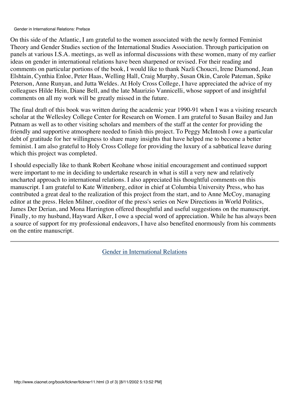Gender in International Relations: Preface

On this side of the Atlantic, I am grateful to the women associated with the newly formed Feminist Theory and Gender Studies section of the International Studies Association. Through participation on panels at various I.S.A. meetings, as well as informal discussions with these women, many of my earlier ideas on gender in international relations have been sharpened or revised. For their reading and comments on particular portions of the book, I would like to thank Nazli Choucri, Irene Diamond, Jean Elshtain, Cynthia Enloe, Peter Haas, Welling Hall, Craig Murphy, Susan Okin, Carole Pateman, Spike Peterson, Anne Runyan, and Jutta Weldes. At Holy Cross College, I have appreciated the advice of my colleagues Hilde Hein, Diane Bell, and the late Maurizio Vannicelli, whose support of and insightful comments on all my work will be greatly missed in the future.

The final draft of this book was written during the academic year 1990-91 when I was a visiting research scholar at the Wellesley College Center for Research on Women. I am grateful to Susan Bailey and Jan Putnam as well as to other visiting scholars and members of the staff at the center for providing the friendly and supportive atmosphere needed to finish this project. To Peggy McIntosh I owe a particular debt of gratitude for her willingness to share many insights that have helped me to become a better feminist. I am also grateful to Holy Cross College for providing the luxury of a sabbatical leave during which this project was completed.

I should especially like to thank Robert Keohane whose initial encouragement and continued support were important to me in deciding to undertake research in what is still a very new and relatively uncharted approach to international relations. I also appreciated his thoughtful comments on this manuscript. I am grateful to Kate Wittenberg, editor in chief at Columbia University Press, who has contributed a great deal to the realization of this project from the start, and to Anne McCoy, managing editor at the press. Helen Milner, coeditor of the press's series on New Directions in World Politics, James Der Derian, and Mona Harrington offered thoughtful and useful suggestions on the manuscript. Finally, to my husband, Hayward Alker, I owe a special word of appreciation. While he has always been a source of support for my professional endeavors, I have also benefited enormously from his comments on the entire manuscript.

Gender in International Relations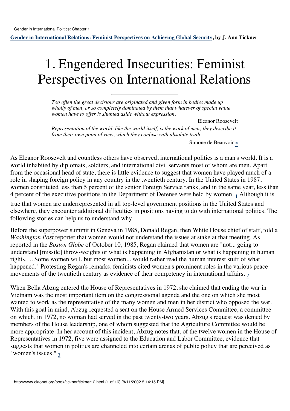# 1. Engendered Insecurities: Feminist Perspectives on International Relations

*Too often the great decisions are originated and given form in bodies made up wholly of men, or so completely dominated by them that whatever of special value women have to offer is shunted aside without expression.*

Eleanor Roosevelt

*Representation of the world, like the world itself, is the work of men; they describe it from their own point of view, which they confuse with absolute truth.*

Simone de Beauvoir \*

As Eleanor Roosevelt and countless others have observed, international politics is a man's world. It is a world inhabited by diplomats, soldiers, and international civil servants most of whom are men. Apart from the occasional head of state, there is little evidence to suggest that women have played much of a role in shaping foreign policy in any country in the twentieth century. In the United States in 1987, women constituted less than 5 percent of the senior Foreign Service ranks, and in the same year, less than 4 percent of the executive positions in the Department of Defense were held by women.  $_1$  Although it is

true that women are underrepresented in all top-level government positions in the United States and elsewhere, they encounter additional difficulties in positions having to do with international politics. The following stories can help us to understand why.

Before the superpower summit in Geneva in 1985, Donald Regan, then White House chief of staff, told a *Washington Post* reporter that women would not understand the issues at stake at that meeting. As reported in the *Boston Globe* of October 10, 1985, Regan claimed that women are "not... going to understand [missile] throw-weights or what is happening in Afghanistan or what is happening in human rights. ... Some women will, but most women... would rather read the human interest stuff of what happened." Protesting Regan's remarks, feminists cited women's prominent roles in the various peace movements of the twentieth century as evidence of their competency in international affairs.  $<sub>2</sub>$ </sub>

When Bella Abzug entered the House of Representatives in 1972, she claimed that ending the war in Vietnam was the most important item on the congressional agenda and the one on which she most wanted to work as the representative of the many women and men in her district who opposed the war. With this goal in mind, Abzug requested a seat on the House Armed Services Committee, a committee on which, in 1972, no woman had served in the past twenty-two years. Abzug's request was denied by members of the House leadership, one of whom suggested that the Agriculture Committee would be more appropriate. In her account of this incident, Abzug notes that, of the twelve women in the House of Representatives in 1972, five were assigned to the Education and Labor Committee, evidence that suggests that women in politics are channeled into certain arenas of public policy that are perceived as "women's issues." 3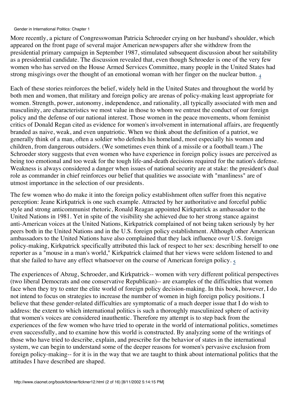More recently, a picture of Congresswoman Patricia Schroeder crying on her husband's shoulder, which appeared on the front page of several major American newspapers after she withdrew from the presidential primary campaign in September 1987, stimulated subsequent discussion about her suitability as a presidential candidate. The discussion revealed that, even though Schroeder is one of the very few women who has served on the House Armed Services Committee, many people in the United States had strong misgivings over the thought of an emotional woman with her finger on the nuclear button.  $_4$ 

Each of these stories reinforces the belief, widely held in the United States and throughout the world by both men and women, that military and foreign policy are arenas of policy-making least appropriate for women. Strength, power, autonomy, independence, and rationality, all typically associated with men and masculinity, are characteristics we most value in those to whom we entrust the conduct of our foreign policy and the defense of our national interest. Those women in the peace movements, whom feminist critics of Donald Regan cited as evidence for women's involvement in international affairs, are frequently branded as naive, weak, and even unpatriotic. When we think about the definition of a patriot, we generally think of a man, often a soldier who defends his homeland, most especially his women and children, from dangerous outsiders. (We sometimes even think of a missile or a football team.) The Schroeder story suggests that even women who have experience in foreign policy issues are perceived as being too emotional and too weak for the tough life-and-death decisions required for the nation's defense. Weakness is always considered a danger when issues of national security are at stake: the president's dual role as commander in chief reinforces our belief that qualities we associate with "manliness" are of utmost importance in the selection of our presidents.

The few women who do make it into the foreign policy establishment often suffer from this negative perception: Jeane Kirkpatrick is one such example. Attracted by her authoritative and forceful public style and strong anticommunist rhetoric, Ronald Reagan appointed Kirkpatrick as ambassador to the United Nations in 1981. Yet in spite of the visibility she achieved due to her strong stance against anti-American voices at the United Nations, Kirkpatrick complained of not being taken seriously by her peers both in the United Nations and in the U.S. foreign policy establishment. Although other American ambassadors to the United Nations have also complained that they lack influence over U.S. foreign policy-making, Kirkpatrick specifically attributed this lack of respect to her sex: describing herself to one reporter as a "mouse in a man's world," Kirkpatrick claimed that her views were seldom listened to and that she failed to have any effect whatsoever on the course of American foreign policy.  $\frac{1}{5}$ 

The experiences of Abzug, Schroeder, and Kirkpatrick-- women with very different political perspectives (two liberal Democrats and one conservative Republican)-- are examples of the difficulties that women face when they try to enter the elite world of foreign policy decision-making. In this book, however, I do not intend to focus on strategies to increase the number of women in high foreign policy positions. I believe that these gender-related difficulties are symptomatic of a much deeper issue that I do wish to address: the extent to which international politics is such a thoroughly masculinized sphere of activity that women's voices are considered inauthentic. Therefore my attempt is to step back from the experiences of the few women who have tried to operate in the world of international politics, sometimes even successfully, and to examine how this world is constructed. By analyzing some of the writings of those who have tried to describe, explain, and prescribe for the behavior of states in the international system, we can begin to understand some of the deeper reasons for women's pervasive exclusion from foreign policy-making-- for it is in the way that we are taught to think about international politics that the attitudes I have described are shaped.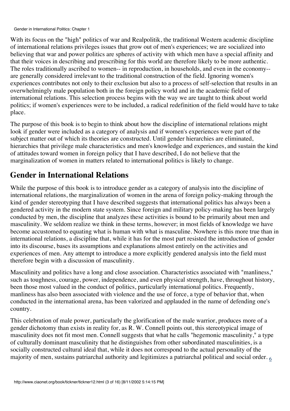With its focus on the "high" politics of war and Realpolitik, the traditional Western academic discipline of international relations privileges issues that grow out of men's experiences; we are socialized into believing that war and power politics are spheres of activity with which men have a special affinity and that their voices in describing and prescribing for this world are therefore likely to be more authentic. The roles traditionally ascribed to women-- in reproduction, in households, and even in the economy- are generally considered irrelevant to the traditional construction of the field. Ignoring women's experiences contributes not only to their exclusion but also to a process of self-selection that results in an overwhelmingly male population both in the foreign policy world and in the academic field of international relations. This selection process begins with the way we are taught to think about world politics; if women's experiences were to be included, a radical redefinition of the field would have to take place.

The purpose of this book is to begin to think about how the discipline of international relations might look if gender were included as a category of analysis and if women's experiences were part of the subject matter out of which its theories are constructed. Until gender hierarchies are eliminated, hierarchies that privilege male characteristics and men's knowledge and experiences, and sustain the kind of attitudes toward women in foreign policy that I have described, I do not believe that the marginalization of women in matters related to international politics is likely to change.

## **Gender in International Relations**

While the purpose of this book is to introduce gender as a category of analysis into the discipline of international relations, the marginalization of women in the arena of foreign policy-making through the kind of gender stereotyping that I have described suggests that international politics has always been a gendered activity in the modern state system. Since foreign and military policy-making has been largely conducted by men, the discipline that analyzes these activities is bound to be primarily about men and masculinity. We seldom realize we think in these terms, however; in most fields of knowledge we have become accustomed to equating what is human with what is masculine. Nowhere is this more true than in international relations, a discipline that, while it has for the most part resisted the introduction of gender into its discourse, bases its assumptions and explanations almost entirely on the activities and experiences of men. Any attempt to introduce a more explicitly gendered analysis into the field must therefore begin with a discussion of masculinity.

Masculinity and politics have a long and close association. Characteristics associated with "manliness," such as toughness, courage, power, independence, and even physical strength, have, throughout history, been those most valued in the conduct of politics, particularly international politics. Frequently, manliness has also been associated with violence and the use of force, a type of behavior that, when conducted in the international arena, has been valorized and applauded in the name of defending one's country.

This celebration of male power, particularly the glorification of the male warrior, produces more of a gender dichotomy than exists in reality for, as R. W. Connell points out, this stereotypical image of masculinity does not fit most men. Connell suggests that what he calls "hegemonic masculinity," a type of culturally dominant masculinity that he distinguishes from other subordinated masculinities, is a socially constructed cultural ideal that, while it does not correspond to the actual personality of the majority of men, sustains patriarchal authority and legitimizes a patriarchal political and social order.  $6$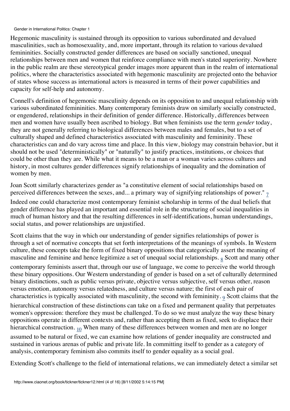Hegemonic masculinity is sustained through its opposition to various subordinated and devalued masculinities, such as homosexuality, and, more important, through its relation to various devalued femininities. Socially constructed gender differences are based on socially sanctioned, unequal relationships between men and women that reinforce compliance with men's stated superiority. Nowhere in the public realm are these stereotypical gender images more apparent than in the realm of international politics, where the characteristics associated with hegemonic masculinity are projected onto the behavior of states whose success as international actors is measured in terms of their power capabilities and capacity for self-help and autonomy.

Connell's definition of hegemonic masculinity depends on its opposition to and unequal relationship with various subordinated femininities. Many contemporary feminists draw on similarly socially constructed, or engendered, relationships in their definition of gender difference. Historically, differences between men and women have usually been ascribed to biology. But when feminists use the term *gender* today, they are not generally referring to biological differences between males and females, but to a set of culturally shaped and defined characteristics associated with masculinity and femininity. These characteristics can and do vary across time and place. In this view, biology may constrain behavior, but it should not be used "deterministically" or "naturally" to justify practices, institutions, or choices that could be other than they are. While what it means to be a man or a woman varies across cultures and history, in most cultures gender differences signify relationships of inequality and the domination of women by men.

Joan Scott similarly characterizes gender as "a constitutive element of social relationships based on perceived differences between the sexes, and... a primary way of signifying relationships of power."  $\frac{7}{1}$ 

Indeed one could characterize most contemporary feminist scholarship in terms of the dual beliefs that gender difference has played an important and essential role in the structuring of social inequalities in much of human history and that the resulting differences in self-identifications, human understandings, social status, and power relationships are unjustified.

Scott claims that the way in which our understanding of gender signifies relationships of power is through a set of normative concepts that set forth interpretations of the meanings of symbols. In Western culture, these concepts take the form of fixed binary oppositions that categorically assert the meaning of masculine and feminine and hence legitimize a set of unequal social relationships.  $8$  Scott and many other contemporary feminists assert that, through our use of language, we come to perceive the world through these binary oppositions. Our Western understanding of gender is based on a set of culturally determined binary distinctions, such as public versus private, objective versus subjective, self versus other, reason versus emotion, autonomy versus relatedness, and culture versus nature; the first of each pair of characteristics is typically associated with masculinity, the second with femininity. 9 Scott claims that the hierarchical construction of these distinctions can take on a fixed and permanent quality that perpetuates women's oppression: therefore they must be challenged. To do so we must analyze the way these binary oppositions operate in different contexts and, rather than accepting them as fixed, seek to displace their hierarchical construction. <sub>10</sub> When many of these differences between women and men are no longer assumed to be natural or fixed, we can examine how relations of gender inequality are constructed and sustained in various arenas of public and private life. In committing itself to gender as a category of analysis, contemporary feminism also commits itself to gender equality as a social goal.

Extending Scott's challenge to the field of international relations, we can immediately detect a similar set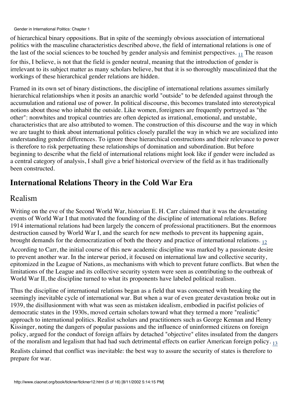of hierarchical binary oppositions. But in spite of the seemingly obvious association of international politics with the masculine characteristics described above, the field of international relations is one of the last of the social sciences to be touched by gender analysis and feminist perspectives.  $_{11}$  The reason

for this, I believe, is not that the field is gender neutral, meaning that the introduction of gender is irrelevant to its subject matter as many scholars believe, but that it is so thoroughly masculinized that the workings of these hierarchical gender relations are hidden.

Framed in its own set of binary distinctions, the discipline of international relations assumes similarly hierarchical relationships when it posits an anarchic world "outside" to be defended against through the accumulation and rational use of power. In political discourse, this becomes translated into stereotypical notions about those who inhabit the outside. Like women, foreigners are frequently portrayed as "the other": nonwhites and tropical countries are often depicted as irrational, emotional, and unstable, characteristics that are also attributed to women. The construction of this discourse and the way in which we are taught to think about international politics closely parallel the way in which we are socialized into understanding gender differences. To ignore these hierarchical constructions and their relevance to power is therefore to risk perpetuating these relationships of domination and subordination. But before beginning to describe what the field of international relations might look like if gender were included as a central category of analysis, I shall give a brief historical overview of the field as it has traditionally been constructed.

### **International Relations Theory in the Cold War Era**

#### Realism

Writing on the eve of the Second World War, historian E. H. Carr claimed that it was the devastating events of World War I that motivated the founding of the discipline of international relations. Before 1914 international relations had been largely the concern of professional practitioners. But the enormous destruction caused by World War I, and the search for new methods to prevent its happening again, brought demands for the democratization of both the theory and practice of international relations.  $_{12}$ 

According to Carr, the initial course of this new academic discipline was marked by a passionate desire to prevent another war. In the interwar period, it focused on international law and collective security, epitomized in the League of Nations, as mechanisms with which to prevent future conflicts. But when the limitations of the League and its collective security system were seen as contributing to the outbreak of World War II, the discipline turned to what its proponents have labeled political realism.

Thus the discipline of international relations began as a field that was concerned with breaking the seemingly inevitable cycle of international war. But when a war of even greater devastation broke out in 1939, the disillusionment with what was seen as mistaken idealism, embodied in pacifist policies of democratic states in the 1930s, moved certain scholars toward what they termed a more "realistic" approach to international politics. Realist scholars and practitioners such as George Kennan and Henry Kissinger, noting the dangers of popular passions and the influence of uninformed citizens on foreign policy, argued for the conduct of foreign affairs by detached "objective" elites insulated from the dangers of the moralism and legalism that had had such detrimental effects on earlier American foreign policy.  $_{13}$ 

Realists claimed that conflict was inevitable: the best way to assure the security of states is therefore to prepare for war.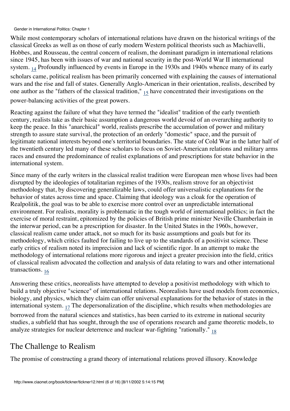While most contemporary scholars of international relations have drawn on the historical writings of the classical Greeks as well as on those of early modern Western political theorists such as Machiavelli, Hobbes, and Rousseau, the central concern of realism, the dominant paradigm in international relations since 1945, has been with issues of war and national security in the post-World War II international system.  $\underline{14}$  Profoundly influenced by events in Europe in the 1930s and 1940s whence many of its early scholars came, political realism has been primarily concerned with explaining the causes of international

wars and the rise and fall of states. Generally Anglo-American in their orientation, realists, described by one author as the "fathers of the classical tradition,"  $_{15}$  have concentrated their investigations on the power-balancing activities of the great powers.

Reacting against the failure of what they have termed the "idealist" tradition of the early twentieth century, realists take as their basic assumption a dangerous world devoid of an overarching authority to keep the peace. In this "anarchical" world, realists prescribe the accumulation of power and military strength to assure state survival, the protection of an orderly "domestic" space, and the pursuit of legitimate national interests beyond one's territorial boundaries. The state of Cold War in the latter half of the twentieth century led many of these scholars to focus on Soviet-American relations and military arms races and ensured the predominance of realist explanations of and prescriptions for state behavior in the international system.

Since many of the early writers in the classical realist tradition were European men whose lives had been disrupted by the ideologies of totalitarian regimes of the 1930s, realism strove for an objectivist methodology that, by discovering generalizable laws, could offer universalistic explanations for the behavior of states across time and space. Claiming that ideology was a cloak for the operation of Realpolitik, the goal was to be able to exercise more control over an unpredictable international environment. For realists, morality is problematic in the tough world of international politics; in fact the exercise of moral restraint, epitomized by the policies of British prime minister Neville Chamberlain in the interwar period, can be a prescription for disaster. In the United States in the 1960s, however, classical realism came under attack, not so much for its basic assumptions and goals but for its methodology, which critics faulted for failing to live up to the standards of a positivist science. These early critics of realism noted its imprecision and lack of scientific rigor. In an attempt to make the methodology of international relations more rigorous and inject a greater precision into the field, critics of classical realism advocated the collection and analysis of data relating to wars and other international transactions.  $_{16}$ 

Answering these critics, neorealists have attempted to develop a positivist methodology with which to build a truly objective "science" of international relations. Neorealists have used models from economics, biology, and physics, which they claim can offer universal explanations for the behavior of states in the international system.  $_{17}$  The depersonalization of the discipline, which results when methodologies are

borrowed from the natural sciences and statistics, has been carried to its extreme in national security studies, a subfield that has sought, through the use of operations research and game theoretic models, to analyze strategies for nuclear deterrence and nuclear war-fighting "rationally." <sub>18</sub>

## The Challenge to Realism

The promise of constructing a grand theory of international relations proved illusory. Knowledge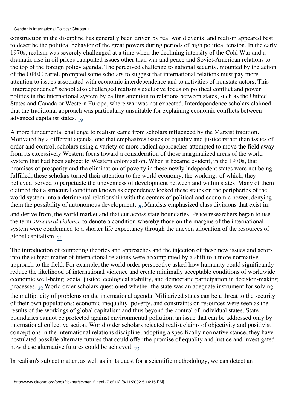construction in the discipline has generally been driven by real world events, and realism appeared best to describe the political behavior of the great powers during periods of high political tension. In the early 1970s, realism was severely challenged at a time when the declining intensity of the Cold War and a dramatic rise in oil prices catapulted issues other than war and peace and Soviet-American relations to the top of the foreign policy agenda. The perceived challenge to national security, mounted by the action of the OPEC cartel, prompted some scholars to suggest that international relations must pay more attention to issues associated with economic interdependence and to activities of nonstate actors. This "interdependence" school also challenged realism's exclusive focus on political conflict and power politics in the international system by calling attention to relations between states, such as the United States and Canada or Western Europe, where war was not expected. Interdependence scholars claimed that the traditional approach was particularly unsuitable for explaining economic conflicts between advanced capitalist states. 19

A more fundamental challenge to realism came from scholars influenced by the Marxist tradition. Motivated by a different agenda, one that emphasizes issues of equality and justice rather than issues of order and control, scholars using a variety of more radical approaches attempted to move the field away from its excessively Western focus toward a consideration of those marginalized areas of the world system that had been subject to Western colonization. When it became evident, in the 1970s, that promises of prosperity and the elimination of poverty in these newly independent states were not being fulfilled, these scholars turned their attention to the world economy, the workings of which, they believed, served to perpetuate the unevenness of development between and within states. Many of them claimed that a structural condition known as dependency locked these states on the peripheries of the world system into a detrimental relationship with the centers of political and economic power, denying them the possibility of autonomous development.  $_{20}$  Marxists emphasized class divisions that exist in,

and derive from, the world market and that cut across state boundaries. Peace researchers began to use the term *structural violence* to denote a condition whereby those on the margins of the international system were condemned to a shorter life expectancy through the uneven allocation of the resources of global capitalism. 21

The introduction of competing theories and approaches and the injection of these new issues and actors into the subject matter of international relations were accompanied by a shift to a more normative approach to the field. For example, the world order perspective asked how humanity could significantly reduce the likelihood of international violence and create minimally acceptable conditions of worldwide economic well-being, social justice, ecological stability, and democratic participation in decision-making processes. 22 World order scholars questioned whether the state was an adequate instrument for solving the multiplicity of problems on the international agenda. Militarized states can be a threat to the security of their own populations; economic inequality, poverty, and constraints on resources were seen as the results of the workings of global capitalism and thus beyond the control of individual states. State boundaries cannot be protected against environmental pollution, an issue that can be addressed only by international collective action. World order scholars rejected realist claims of objectivity and positivist conceptions in the international relations discipline; adopting a specifically normative stance, they have postulated possible alternate futures that could offer the promise of equality and justice and investigated how these alternative futures could be achieved.  $_{23}$ 

In realism's subject matter, as well as in its quest for a scientific methodology, we can detect an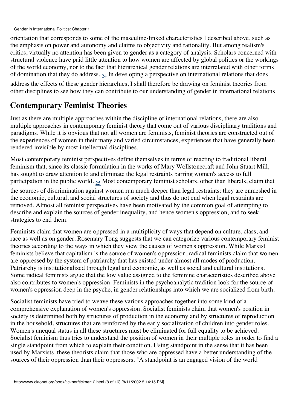orientation that corresponds to some of the masculine-linked characteristics I described above, such as the emphasis on power and autonomy and claims to objectivity and rationality. But among realism's critics, virtually no attention has been given to gender as a category of analysis. Scholars concerned with structural violence have paid little attention to how women are affected by global politics or the workings of the world economy, nor to the fact that hierarchical gender relations are interrelated with other forms of domination that they do address.  $_{24}$  In developing a perspective on international relations that does address the effects of these gender hierarchies, I shall therefore be drawing on feminist theories from

other disciplines to see how they can contribute to our understanding of gender in international relations.

### **Contemporary Feminist Theories**

Just as there are multiple approaches within the discipline of international relations, there are also multiple approaches in contemporary feminist theory that come out of various disciplinary traditions and paradigms. While it is obvious that not all women are feminists, feminist theories are constructed out of the experiences of women in their many and varied circumstances, experiences that have generally been rendered invisible by most intellectual disciplines.

Most contemporary feminist perspectives define themselves in terms of reacting to traditional liberal feminism that, since its classic formulation in the works of Mary Wollstonecraft and John Stuart Mill, has sought to draw attention to and eliminate the legal restraints barring women's access to full participation in the public world.  $_{25}$  Most contemporary feminist scholars, other than liberals, claim that the sources of discrimination against women run much deeper than legal restraints: they are enmeshed in the economic, cultural, and social structures of society and thus do not end when legal restraints are removed. Almost all feminist perspectives have been motivated by the common goal of attempting to describe and explain the sources of gender inequality, and hence women's oppression, and to seek strategies to end them.

Feminists claim that women are oppressed in a multiplicity of ways that depend on culture, class, and race as well as on gender. Rosemary Tong suggests that we can categorize various contemporary feminist theories according to the ways in which they view the causes of women's oppression. While Marxist feminists believe that capitalism is the source of women's oppression, radical feminists claim that women are oppressed by the system of patriarchy that has existed under almost all modes of production. Patriarchy is institutionalized through legal and economic, as well as social and cultural institutions. Some radical feminists argue that the low value assigned to the feminine characteristics described above also contributes to women's oppression. Feminists in the psychoanalytic tradition look for the source of women's oppression deep in the psyche, in gender relationships into which we are socialized from birth.

Socialist feminists have tried to weave these various approaches together into some kind of a comprehensive explanation of women's oppression. Socialist feminists claim that women's position in society is determined both by structures of production in the economy and by structures of reproduction in the household, structures that are reinforced by the early socialization of children into gender roles. Women's unequal status in all these structures must be eliminated for full equality to be achieved. Socialist feminism thus tries to understand the position of women in their multiple roles in order to find a single standpoint from which to explain their condition. Using standpoint in the sense that it has been used by Marxists, these theorists claim that those who are oppressed have a better understanding of the sources of their oppression than their oppressors. "A standpoint is an engaged vision of the world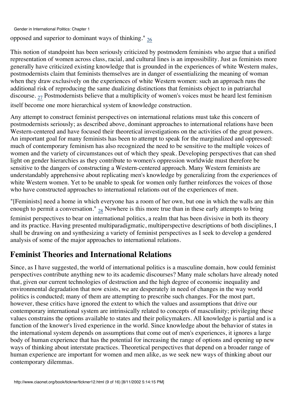opposed and superior to dominant ways of thinking."  $_{26}$ 

This notion of standpoint has been seriously criticized by postmodern feminists who argue that a unified representation of women across class, racial, and cultural lines is an impossibility. Just as feminists more generally have criticized existing knowledge that is grounded in the experiences of white Western males, postmodernists claim that feminists themselves are in danger of essentializing the meaning of woman when they draw exclusively on the experiences of white Western women: such an approach runs the additional risk of reproducing the same dualizing distinctions that feminists object to in patriarchal discourse.  $_{27}$  Postmodernists believe that a multiplicity of women's voices must be heard lest feminism itself become one more hierarchical system of knowledge construction.

Any attempt to construct feminist perspectives on international relations must take this concern of postmodernists seriously; as described above, dominant approaches to international relations have been Western-centered and have focused their theoretical investigations on the activities of the great powers. An important goal for many feminists has been to attempt to speak for the marginalized and oppressed: much of contemporary feminism has also recognized the need to be sensitive to the multiple voices of women and the variety of circumstances out of which they speak. Developing perspectives that can shed light on gender hierarchies as they contribute to women's oppression worldwide must therefore be sensitive to the dangers of constructing a Western-centered approach. Many Western feminists are understandably apprehensive about replicating men's knowledge by generalizing from the experiences of white Western women. Yet to be unable to speak for women only further reinforces the voices of those who have constructed approaches to international relations out of the experiences of men.

"[Feminists] need a home in which everyone has a room of her own, but one in which the walls are thin enough to permit a conversation."  $_{28}$  Nowhere is this more true than in these early attempts to bring

feminist perspectives to bear on international politics, a realm that has been divisive in both its theory and its practice. Having presented multiparadigmatic, multiperspective descriptions of both disciplines, I shall be drawing on and synthesizing a variety of feminist perspectives as I seek to develop a gendered analysis of some of the major approaches to international relations.

## **Feminist Theories and International Relations**

Since, as I have suggested, the world of international politics is a masculine domain, how could feminist perspectives contribute anything new to its academic discourses? Many male scholars have already noted that, given our current technologies of destruction and the high degree of economic inequality and environmental degradation that now exists, we are desperately in need of changes in the way world politics is conducted; many of them are attempting to prescribe such changes. For the most part, however, these critics have ignored the extent to which the values and assumptions that drive our contemporary international system are intrinsically related to concepts of masculinity; privileging these values constrains the options available to states and their policymakers. All knowledge is partial and is a function of the knower's lived experience in the world. Since knowledge about the behavior of states in the international system depends on assumptions that come out of men's experiences, it ignores a large body of human experience that has the potential for increasing the range of options and opening up new ways of thinking about interstate practices. Theoretical perspectives that depend on a broader range of human experience are important for women and men alike, as we seek new ways of thinking about our contemporary dilemmas.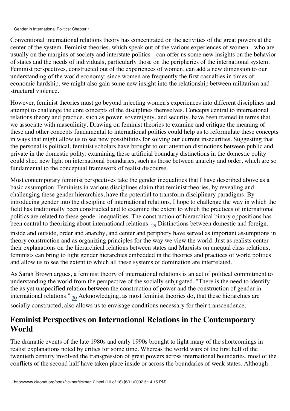Conventional international relations theory has concentrated on the activities of the great powers at the center of the system. Feminist theories, which speak out of the various experiences of women-- who are usually on the margins of society and interstate politics-- can offer us some new insights on the behavior of states and the needs of individuals, particularly those on the peripheries of the international system. Feminist perspectives, constructed out of the experiences of women, can add a new dimension to our understanding of the world economy; since women are frequently the first casualties in times of economic hardship, we might also gain some new insight into the relationship between militarism and structural violence.

However, feminist theories must go beyond injecting women's experiences into different disciplines and attempt to challenge the core concepts of the disciplines themselves. Concepts central to international relations theory and practice, such as power, sovereignty, and security, have been framed in terms that we associate with masculinity. Drawing on feminist theories to examine and critique the meaning of these and other concepts fundamental to international politics could help us to reformulate these concepts in ways that might allow us to see new possibilities for solving our current insecurities. Suggesting that the personal is political, feminist scholars have brought to our attention distinctions between public and private in the domestic polity: examining these artificial boundary distinctions in the domestic polity could shed new light on international boundaries, such as those between anarchy and order, which are so fundamental to the conceptual framework of realist discourse.

Most contemporary feminist perspectives take the gender inequalities that I have described above as a basic assumption. Feminists in various disciplines claim that feminist theories, by revealing and challenging these gender hierarchies, have the potential to transform disciplinary paradigms. By introducing gender into the discipline of international relations, I hope to challenge the way in which the field has traditionally been constructed and to examine the extent to which the practices of international politics are related to these gender inequalities. The construction of hierarchical binary oppositions has been central to theorizing about international relations. <sub>29</sub> Distinctions between domestic and foreign,

inside and outside, order and anarchy, and center and periphery have served as important assumptions in theory construction and as organizing principles for the way we view the world. Just as realists center their explanations on the hierarchical relations between states and Marxists on unequal class relations, feminists can bring to light gender hierarchies embedded in the theories and practices of world politics and allow us to see the extent to which all these systems of domination are interrelated.

As Sarah Brown argues, a feminist theory of international relations is an act of political commitment to understanding the world from the perspective of the socially subjugated. "There is the need to identify the as yet unspecified relation between the construction of power and the construction of gender in international relations."  $_{30}$  Acknowledging, as most feminist theories do, that these hierarchies are socially constructed, also allows us to envisage conditions necessary for their transcendence.

#### **Feminist Perspectives on International Relations in the Contemporary World**

The dramatic events of the late 1980s and early 1990s brought to light many of the shortcomings in realist explanations noted by critics for some time. Whereas the world wars of the first half of the twentieth century involved the transgression of great powers across international boundaries, most of the conflicts of the second half have taken place inside or across the boundaries of weak states. Although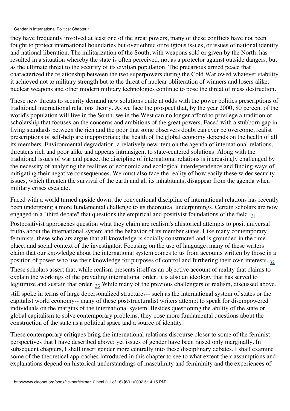they have frequently involved at least one of the great powers, many of these conflicts have not been fought to protect international boundaries but over ethnic or religious issues, or issues of national identity and national liberation. The militarization of the South, with weapons sold or given by the North, has resulted in a situation whereby the state is often perceived, not as a protector against outside dangers, but as the ultimate threat to the security of its civilian population. The precarious armed peace that characterized the relationship between the two superpowers during the Cold War owed whatever stability it achieved not to military strength but to the threat of nuclear obliteration of winners and losers alike: nuclear weapons and other modern military technologies continue to pose the threat of mass destruction.

These new threats to security demand new solutions quite at odds with the power politics prescriptions of traditional international relations theory. As we face the prospect that, by the year 2000, 80 percent of the world's population will live in the South, we in the West can no longer afford to privilege a tradition of scholarship that focuses on the concerns and ambitions of the great powers. Faced with a stubborn gap in living standards between the rich and the poor that some observers doubt can ever be overcome, realist prescriptions of self-help are inappropriate; the health of the global economy depends on the health of all its members. Environmental degradation, a relatively new item on the agenda of international relations, threatens rich and poor alike and appears intransigent to state-centered solutions. Along with the traditional issues of war and peace, the discipline of international relations is increasingly challenged by the necessity of analyzing the realities of economic and ecological interdependence and finding ways of mitigating their negative consequences. We must also face the reality of how easily these wider security issues, which threaten the survival of the earth and all its inhabitants, disappear from the agenda when military crises escalate.

Faced with a world turned upside down, the conventional discipline of international relations has recently been undergoing a more fundamental challenge to its theoretical underpinnings. Certain scholars are now engaged in a "third debate" that questions the empirical and positivist foundations of the field.  $_{31}$ 

Postpositivist approaches question what they claim are realism's ahistorical attempts to posit universal truths about the international system and the behavior of its member states. Like many contemporary feminists, these scholars argue that all knowledge is socially constructed and is grounded in the time, place, and social context of the investigator. Focusing on the use of language, many of these writers claim that our knowledge about the international system comes to us from accounts written by those in a position of power who use their knowledge for purposes of control and furthering their own interests. 32

These scholars assert that, while realism presents itself as an objective account of reality that claims to explain the workings of the prevailing international order, it is also an ideology that has served to legitimize and sustain that order.  $33$  While many of the previous challengers of realism, discussed above,

still spoke in terms of large depersonalized structures-- such as the international system of states or the capitalist world economy-- many of these poststructuralist writers attempt to speak for disempowered individuals on the margins of the international system. Besides questioning the ability of the state or global capitalism to solve contemporary problems, they pose more fundamental questions about the construction of the state as a political space and a source of identity.

These contemporary critiques bring the international relations discourse closer to some of the feminist perspectives that I have described above: yet issues of gender have been raised only marginally. In subsequent chapters, I shall insert gender more centrally into these disciplinary debates. I shall examine some of the theoretical approaches introduced in this chapter to see to what extent their assumptions and explanations depend on historical understandings of masculinity and femininity and the experiences of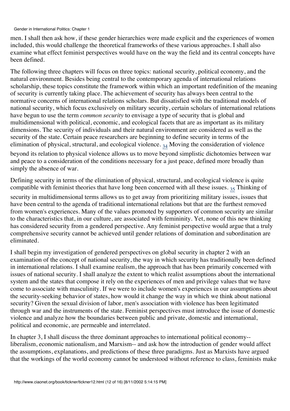men. I shall then ask how, if these gender hierarchies were made explicit and the experiences of women included, this would challenge the theoretical frameworks of these various approaches. I shall also examine what effect feminist perspectives would have on the way the field and its central concepts have been defined.

The following three chapters will focus on three topics: national security, political economy, and the natural environment. Besides being central to the contemporary agenda of international relations scholarship, these topics constitute the framework within which an important redefinition of the meaning of security is currently taking place. The achievement of security has always been central to the normative concerns of international relations scholars. But dissatisfied with the traditional models of national security, which focus exclusively on military security, certain scholars of international relations have begun to use the term *common security* to envisage a type of security that is global and multidimensional with political, economic, and ecological facets that are as important as its military dimensions. The security of individuals and their natural environment are considered as well as the security of the state. Certain peace researchers are beginning to define security in terms of the elimination of physical, structural, and ecological violence.  $_{34}$  Moving the consideration of violence

beyond its relation to physical violence allows us to move beyond simplistic dichotomies between war and peace to a consideration of the conditions necessary for a just peace, defined more broadly than simply the absence of war.

Defining security in terms of the elimination of physical, structural, and ecological violence is quite compatible with feminist theories that have long been concerned with all these issues.  $\frac{35}{35}$  Thinking of

security in multidimensional terms allows us to get away from prioritizing military issues, issues that have been central to the agenda of traditional international relations but that are the furthest removed from women's experiences. Many of the values promoted by supporters of common security are similar to the characteristics that, in our culture, are associated with femininity. Yet, none of this new thinking has considered security from a gendered perspective. Any feminist perspective would argue that a truly comprehensive security cannot be achieved until gender relations of domination and subordination are eliminated.

I shall begin my investigation of gendered perspectives on global security in chapter 2 with an examination of the concept of national security, the way in which security has traditionally been defined in international relations. I shall examine realism, the approach that has been primarily concerned with issues of national security. I shall analyze the extent to which realist assumptions about the international system and the states that compose it rely on the experiences of men and privilege values that we have come to associate with masculinity. If we were to include women's experiences in our assumptions about the security-seeking behavior of states, how would it change the way in which we think about national security? Given the sexual division of labor, men's association with violence has been legitimated through war and the instruments of the state. Feminist perspectives must introduce the issue of domestic violence and analyze how the boundaries between public and private, domestic and international, political and economic, are permeable and interrelated.

In chapter 3, I shall discuss the three dominant approaches to international political economy- liberalism, economic nationalism, and Marxism-- and ask how the introduction of gender would affect the assumptions, explanations, and predictions of these three paradigms. Just as Marxists have argued that the workings of the world economy cannot be understood without reference to class, feminists make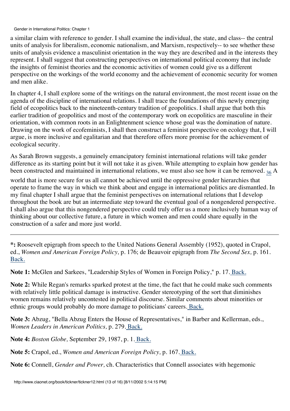a similar claim with reference to gender. I shall examine the individual, the state, and class-- the central units of analysis for liberalism, economic nationalism, and Marxism, respectively-- to see whether these units of analysis evidence a masculinist orientation in the way they are described and in the interests they represent. I shall suggest that constructing perspectives on international political economy that include the insights of feminist theories and the economic activities of women could give us a different perspective on the workings of the world economy and the achievement of economic security for women and men alike.

In chapter 4, I shall explore some of the writings on the natural environment, the most recent issue on the agenda of the discipline of international relations. I shall trace the foundations of this newly emerging field of ecopolitics back to the nineteenth-century tradition of geopolitics. I shall argue that both this earlier tradition of geopolitics and most of the contemporary work on ecopolitics are masculine in their orientation, with common roots in an Enlightenment science whose goal was the domination of nature. Drawing on the work of ecofeminists, I shall then construct a feminist perspective on ecology that, I will argue, is more inclusive and egalitarian and that therefore offers more promise for the achievement of ecological security.

As Sarah Brown suggests, a genuinely emancipatory feminist international relations will take gender difference as its starting point but it will not take it as given. While attempting to explain how gender has been constructed and maintained in international relations, we must also see how it can be removed.  $_{36}$  A

world that is more secure for us all cannot be achieved until the oppressive gender hierarchies that operate to frame the way in which we think about and engage in international politics are dismantled. In my final chapter I shall argue that the feminist perspectives on international relations that I develop throughout the book are but an intermediate step toward the eventual goal of a nongendered perspective. I shall also argue that this nongendered perspective could truly offer us a more inclusively human way of thinking about our collective future, a future in which women and men could share equally in the construction of a safer and more just world.

**\*:** Roosevelt epigraph from speech to the United Nations General Assembly (1952), quoted in Crapol, ed., *Women and American Foreign Policy,* p. 176; de Beauvoir epigraph from *The Second Sex,* p. 161. Back.

**Note 1:** McGlen and Sarkees, "Leadership Styles of Women in Foreign Policy," p. 17. Back.

**Note 2:** While Regan's remarks sparked protest at the time, the fact that he could make such comments with relatively little political damage is instructive. Gender stereotyping of the sort that diminishes women remains relatively uncontested in political discourse. Similar comments about minorities or ethnic groups would probably do more damage to politicians' careers. Back.

**Note 3:** Abzug, "Bella Abzug Enters the House of Representatives," in Barber and Kellerman, eds., *Women Leaders in American Politics,* p. 279. Back.

**Note 4:** *Boston Globe,* September 29, 1987, p. 1. Back.

**Note 5:** Crapol, ed., *Women and American Foreign Policy,* p. 167. Back.

**Note 6:** Connell, *Gender and Power,* ch. Characteristics that Connell associates with hegemonic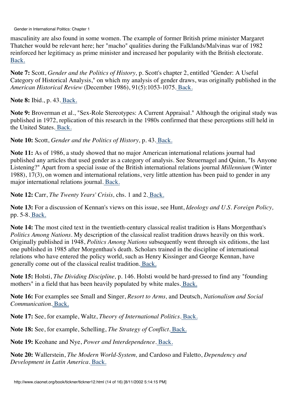masculinity are also found in some women. The example of former British prime minister Margaret Thatcher would be relevant here; her "macho" qualities during the Falklands/Malvinas war of 1982 reinforced her legitimacy as prime minister and increased her popularity with the British electorate. Back.

**Note 7:** Scott, *Gender and the Politics of History,* p. Scott's chapter 2, entitled "Gender: A Useful Category of Historical Analysis," on which my analysis of gender draws, was originally published in the *American Historical Review* (December 1986), 91(5):1053-1075. Back.

**Note 8:** Ibid., p. 43. Back.

**Note 9:** Broverman et al., "Sex-Role Stereotypes: A Current Appraisal." Although the original study was published in 1972, replication of this research in the 1980s confirmed that these perceptions still held in the United States. Back.

**Note 10:** Scott, *Gender and the Politics of History,* p. 43. Back.

**Note 11:** As of 1986, a study showed that no major American international relations journal had published any articles that used gender as a category of analysis. See Steuernagel and Quinn, "Is Anyone Listening?" Apart from a special issue of the British international relations journal *Millennium* (Winter 1988), 17(3), on women and international relations, very little attention has been paid to gender in any major international relations journal. Back.

**Note 12:** Carr, *The Twenty Years' Crisis,* chs. 1 and 2. Back.

**Note 13:** For a discussion of Kennan's views on this issue, see Hunt, *Ideology and U.S. Foreign Policy,* pp. 5-8. Back.

**Note 14:** The most cited text in the twentieth-century classical realist tradition is Hans Morgenthau's *Politics Among Nations.* My description of the classical realist tradition draws heavily on this work. Originally published in 1948, *Politics Among Nations* subsequently went through six editions, the last one published in 1985 after Morgenthau's death. Scholars trained in the discipline of international relations who have entered the policy world, such as Henry Kissinger and George Kennan, have generally come out of the classical realist tradition. Back.

**Note 15:** Holsti, *The Dividing Discipline,* p. 146. Holsti would be hard-pressed to find any "founding mothers" in a field that has been heavily populated by white males. Back.

**Note 16:** For examples see Small and Singer, *Resort to Arms,* and Deutsch, *Nationalism and Social Communication.* Back.

**Note 17:** See, for example, Waltz, *Theory of International Politics.* Back.

**Note 18:** See, for example, Schelling, *The Strategy of Conflict.* Back.

**Note 19:** Keohane and Nye, *Power and Interdependence.* Back.

**Note 20:** Wallerstein, *The Modern World-System,* and Cardoso and Faletto, *Dependency and Development in Latin America.* Back.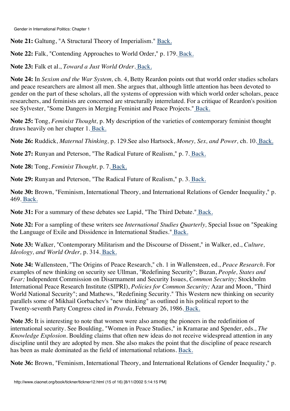**Note 21:** Galtung, "A Structural Theory of Imperialism." Back.

**Note 22:** Falk, "Contending Approaches to World Order," p. 179. Back.

**Note 23:** Falk et al., *Toward a Just World Order.* Back.

**Note 24:** In *Sexism and the War System,* ch. 4, Betty Reardon points out that world order studies scholars and peace researchers are almost all men. She argues that, although little attention has been devoted to gender on the part of these scholars, all the systems of oppression with which world order scholars, peace researchers, and feminists are concerned are structurally interrelated. For a critique of Reardon's position see Sylvester, "Some Dangers in Merging Feminist and Peace Projects." Back.

**Note 25:** Tong, *Feminist Thought,* p. My description of the varieties of contemporary feminist thought draws heavily on her chapter 1. Back.

**Note 26:** Ruddick, *Maternal Thinking,* p. 129.See also Hartsock, *Money, Sex, and Power,* ch. 10. Back.

**Note 27:** Runyan and Peterson, "The Radical Future of Realism," p. 7. Back.

**Note 28:** Tong, *Feminist Thought,* p. 7. Back.

**Note 29:** Runyan and Peterson, "The Radical Future of Realism," p. 3. Back.

**Note 30:** Brown, "Feminism, International Theory, and International Relations of Gender Inequality," p. 469. Back.

**Note 31:** For a summary of these debates see Lapid, "The Third Debate." Back.

**Note 32:** For a sampling of these writers see *International Studies Quarterly,* Special Issue on "Speaking the Language of Exile and Dissidence in International Studies." Back.

**Note 33:** Walker, "Contemporary Militarism and the Discourse of Dissent," in Walker, ed., *Culture, Ideology, and World Order,* p. 314. Back.

**Note 34:** Wallensteen, "The Origins of Peace Research," ch. 1 in Wallensteen, ed., *Peace Research.* For examples of new thinking on security see Ullman, "Redefining Security"; Buzan, *People, States and Fear;* Independent Commission on Disarmament and Security Issues, *Common Security;* Stockholm International Peace Research Institute (SIPRI), *Policies for Common Security;* Azar and Moon, "Third World National Security"; and Mathews, "Redefining Security." This Western new thinking on security parallels some of Mikhail Gorbachev's "new thinking" as outlined in his political report to the Twenty-seventh Party Congress cited in *Pravda,* February 26, 1986. Back.

**Note 35:** It is interesting to note that women were also among the pioneers in the redefinition of international security. See Boulding, "Women in Peace Studies," in Kramarae and Spender, eds., *The Knowledge Explosion.* Boulding claims that often new ideas do not receive widespread attention in any discipline until they are adopted by men. She also makes the point that the discipline of peace research has been as male dominated as the field of international relations. Back.

**Note 36:** Brown, "Feminism, International Theory, and International Relations of Gender Inequality," p.